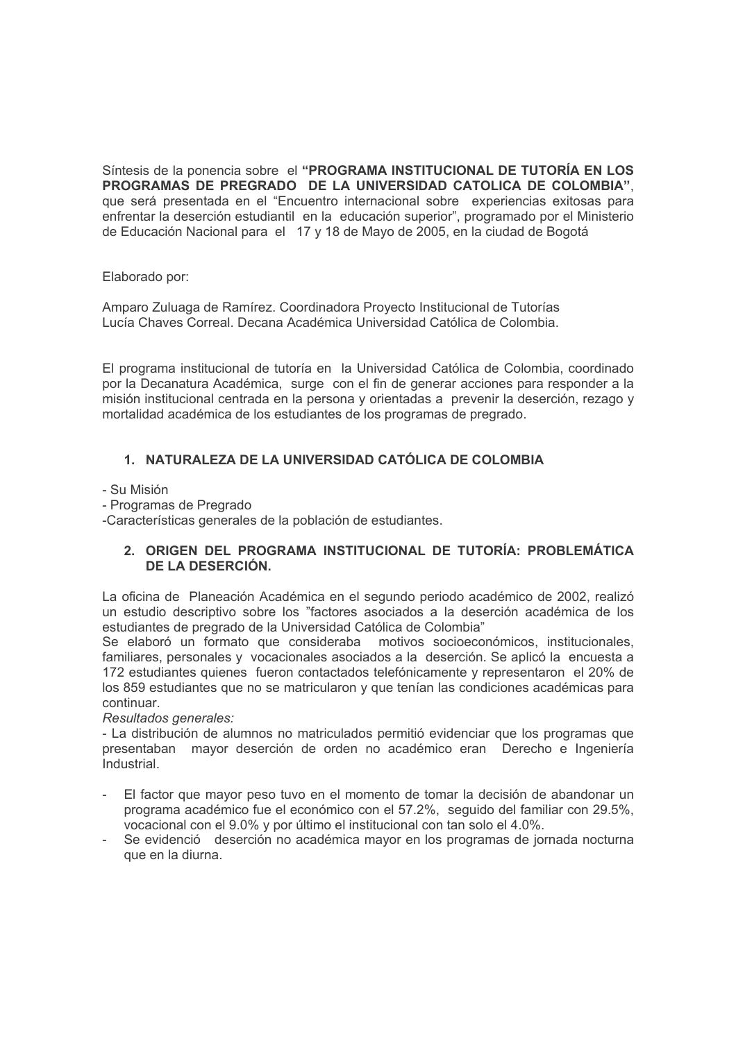Síntesis de la ponencia sobre el "PROGRAMA INSTITUCIONAL DE TUTORÍA EN LOS PROGRAMAS DE PREGRADO DE LA UNIVERSIDAD CATOLICA DE COLOMBIA". que será presentada en el "Encuentro internacional sobre experiencias exitosas para enfrentar la deserción estudiantil en la educación superior", programado por el Ministerio de Educación Nacional para el 17 y 18 de Mayo de 2005, en la ciudad de Bogotá

Elaborado por:

Amparo Zuluaga de Ramírez. Coordinadora Proyecto Institucional de Tutorías Lucía Chaves Correal, Decana Académica Universidad Católica de Colombia.

El programa institucional de tutoría en la Universidad Católica de Colombia, coordinado por la Decanatura Académica, surge con el fin de generar acciones para responder a la misión institucional centrada en la persona y orientadas a prevenir la deserción, rezago y mortalidad académica de los estudiantes de los programas de pregrado.

# 1. NATURALEZA DE LA UNIVERSIDAD CATÓLICA DE COLOMBIA

- Su Misión

- Programas de Pregrado

-Características generales de la población de estudiantes.

## 2. ORIGEN DEL PROGRAMA INSTITUCIONAL DE TUTORÍA: PROBLEMÁTICA DE LA DESERCIÓN.

La oficina de Planeación Académica en el segundo periodo académico de 2002, realizó un estudio descriptivo sobre los "factores asociados a la deserción académica de los estudiantes de pregrado de la Universidad Católica de Colombia"

Se elaboró un formato que consideraba motivos socioeconómicos, institucionales, familiares, personales y vocacionales asociados a la deserción. Se aplicó la encuesta a 172 estudiantes quienes fueron contactados telefónicamente y representaron el 20% de los 859 estudiantes que no se matricularon y que tenían las condiciones académicas para continuar.

Resultados generales:

- La distribución de alumnos no matriculados permitió evidenciar que los programas que presentaban mayor deserción de orden no académico eran Derecho e Ingeniería Industrial.

- El factor que mayor peso tuvo en el momento de tomar la decisión de abandonar un  $\omega$  . programa académico fue el económico con el 57.2%, seguido del familiar con 29.5%, vocacional con el 9.0% y por último el institucional con tan solo el 4.0%.
- Se evidenció deserción no académica mayor en los programas de jornada nocturna que en la diurna.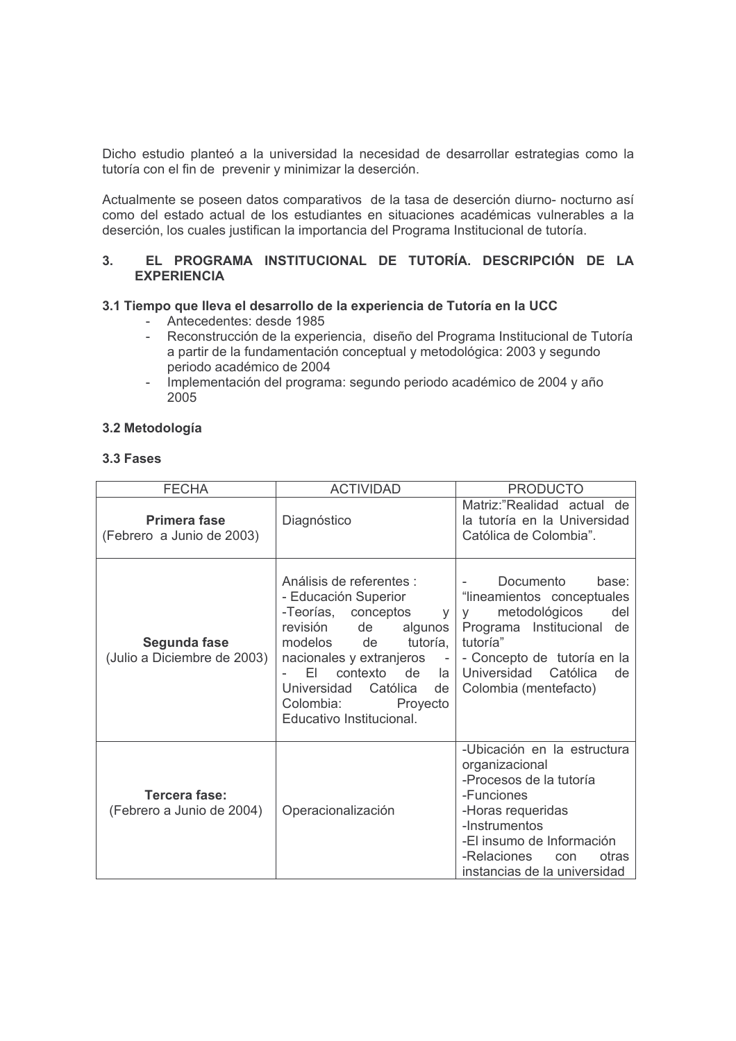Dicho estudio planteó a la universidad la necesidad de desarrollar estrategias como la tutoría con el fin de prevenir y minimizar la deserción.

Actualmente se poseen datos comparativos de la tasa de deserción diurno- nocturno así como del estado actual de los estudiantes en situaciones académicas vulnerables a la deserción, los cuales justifican la importancia del Programa Institucional de tutoría.

#### EL PROGRAMA INSTITUCIONAL DE TUTORÍA. DESCRIPCIÓN DE LA  $3<sub>1</sub>$ **EXPERIENCIA**

## 3.1 Tiempo que lleva el desarrollo de la experiencia de Tutoría en la UCC

- Antecedentes: desde 1985
- Reconstrucción de la experiencia, diseño del Programa Institucional de Tutoría a partir de la fundamentación conceptual y metodológica: 2003 y segundo periodo académico de 2004
- Implementación del programa: segundo periodo académico de 2004 y año 2005

## 3.2 Metodología

#### 3.3 Fases

| <b>FECHA</b>                                | <b>ACTIVIDAD</b>                                                                                                                                                                                                                                                                                                              | <b>PRODUCTO</b>                                                                                                                                                                                                           |
|---------------------------------------------|-------------------------------------------------------------------------------------------------------------------------------------------------------------------------------------------------------------------------------------------------------------------------------------------------------------------------------|---------------------------------------------------------------------------------------------------------------------------------------------------------------------------------------------------------------------------|
| Primera fase<br>(Febrero a Junio de 2003)   | Diagnóstico                                                                                                                                                                                                                                                                                                                   | Matriz:"Realidad actual de<br>la tutoría en la Universidad<br>Católica de Colombia".                                                                                                                                      |
| Segunda fase<br>(Julio a Diciembre de 2003) | Análisis de referentes :<br>- Educación Superior<br>-Teorías, conceptos<br>V <sub>1</sub><br>revisión<br>de<br>algunos<br>modelos<br>tutoría,<br>de<br>nacionales y extranjeros<br>$\overline{\phantom{a}}$<br>FL.<br>contexto de<br>la<br>Católica<br>Universidad<br>de<br>Colombia:<br>Proyecto<br>Educativo Institucional. | Documento<br>base:<br>"lineamientos conceptuales<br>metodológicos<br>del<br><b>V</b><br>Programa Institucional<br>de<br>tutoría"<br>- Concepto de tutoría en la<br>Universidad<br>Católica<br>de<br>Colombia (mentefacto) |
| Tercera fase:<br>(Febrero a Junio de 2004)  | Operacionalización                                                                                                                                                                                                                                                                                                            | -Ubicación en la estructura<br>organizacional<br>-Procesos de la tutoría<br>-Funciones<br>-Horas requeridas<br>-Instrumentos<br>-El insumo de Información<br>-Relaciones<br>otras<br>con<br>instancias de la universidad  |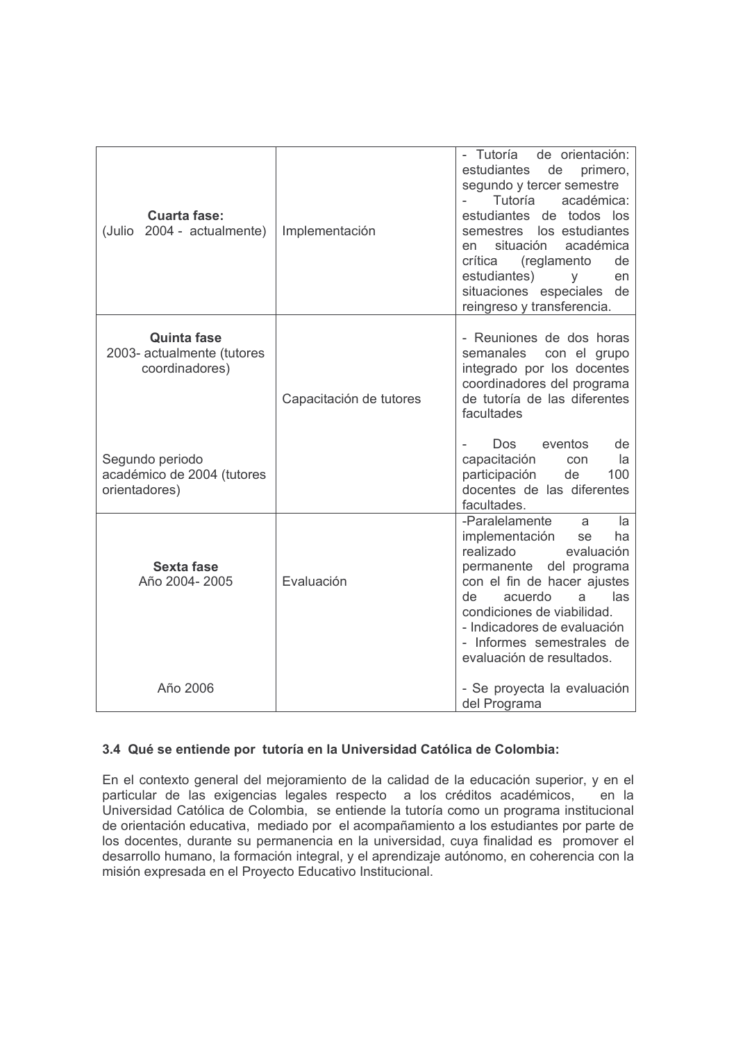| <b>Cuarta fase:</b><br>(Julio 2004 - actualmente)                  | Implementación          | - Tutoría<br>de orientación:<br>estudiantes<br>de<br>primero,<br>segundo y tercer semestre<br>Tutoría<br>académica:<br>estudiantes<br>de todos los<br>semestres los estudiantes<br>académica<br>situación<br>en<br>crítica<br>de<br>(reglamento                                                  |
|--------------------------------------------------------------------|-------------------------|--------------------------------------------------------------------------------------------------------------------------------------------------------------------------------------------------------------------------------------------------------------------------------------------------|
|                                                                    |                         | estudiantes)<br>y<br>en<br>situaciones especiales<br>de<br>reingreso y transferencia.                                                                                                                                                                                                            |
| <b>Quinta fase</b><br>2003- actualmente (tutores<br>coordinadores) | Capacitación de tutores | - Reuniones de dos horas<br>semanales<br>con el grupo<br>integrado por los docentes<br>coordinadores del programa<br>de tutoría de las diferentes<br>facultades                                                                                                                                  |
| Segundo periodo<br>académico de 2004 (tutores<br>orientadores)     |                         | eventos<br>Dos.<br>de<br>capacitación<br>la<br>con<br>participación<br>de<br>100<br>docentes de las diferentes<br>facultades.                                                                                                                                                                    |
| <b>Sexta fase</b><br>Año 2004-2005                                 | Evaluación              | -Paralelamente<br>la<br>a<br>implementación<br>ha<br>se<br>realizado<br>evaluación<br>permanente del programa<br>con el fin de hacer ajustes<br>de<br>acuerdo<br>las<br>a<br>condiciones de viabilidad.<br>- Indicadores de evaluación<br>- Informes semestrales de<br>evaluación de resultados. |
| Año 2006                                                           |                         | - Se proyecta la evaluación<br>del Programa                                                                                                                                                                                                                                                      |

## 3.4 Qué se entiende por tutoría en la Universidad Católica de Colombia:

En el contexto general del mejoramiento de la calidad de la educación superior, y en el particular de las exigencias legales respecto a los créditos académicos, en la Universidad Católica de Colombia, se entiende la tutoría como un programa institucional de orientación educativa, mediado por el acompañamiento a los estudiantes por parte de los docentes, durante su permanencia en la universidad, cuya finalidad es promover el desarrollo humano, la formación integral, y el aprendizaje autónomo, en coherencia con la misión expresada en el Proyecto Educativo Institucional.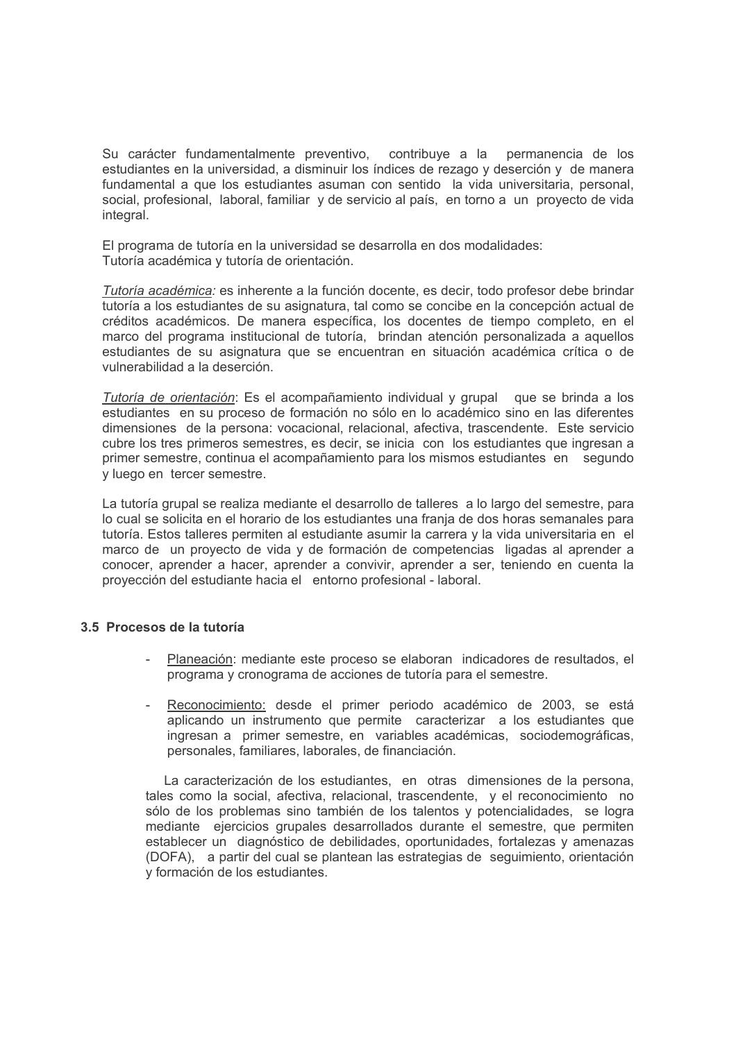Su carácter fundamentalmente preventivo, contribuye a la permanencia de los estudiantes en la universidad, a disminuir los índices de rezago y deserción y de manera fundamental a que los estudiantes asuman con sentido la vida universitaria, personal. social, profesional, laboral, familiar y de servicio al país, en torno a un proyecto de vida integral.

El programa de tutoría en la universidad se desarrolla en dos modalidades: Tutoría académica y tutoría de orientación.

Tutoría académica: es inherente a la función docente, es decir, todo profesor debe brindar tutoría a los estudiantes de su asignatura, tal como se concibe en la concepción actual de créditos académicos. De manera específica, los docentes de tiempo completo, en el marco del programa institucional de tutoría, brindan atención personalizada a aquellos estudiantes de su asignatura que se encuentran en situación académica crítica o de vulnerabilidad a la deserción.

Tutoría de orientación: Es el acompañamiento individual y grupal que se brinda a los estudiantes en su proceso de formación no sólo en lo académico sino en las diferentes dimensiones de la persona: vocacional, relacional, afectiva, trascendente. Este servicio cubre los tres primeros semestres, es decir, se inicia con los estudiantes que ingresan a primer semestre, continua el acompañamiento para los mismos estudiantes en segundo v luego en tercer semestre.

La tutoría grupal se realiza mediante el desarrollo de talleres a lo largo del semestre, para lo cual se solicita en el horario de los estudiantes una franja de dos horas semanales para tutoría. Estos talleres permiten al estudiante asumir la carrera y la vida universitaria en el marco de un proyecto de vida y de formación de competencias ligadas al aprender a conocer, aprender a hacer, aprender a convivir, aprender a ser, teniendo en cuenta la proyección del estudiante hacia el entorno profesional - laboral.

## 3.5 Procesos de la tutoría

- Planeación: mediante este proceso se elaboran indicadores de resultados, el programa y cronograma de acciones de tutoría para el semestre.
- Reconocimiento: desde el primer periodo académico de 2003, se está aplicando un instrumento que permite caracterizar a los estudiantes que ingresan a primer semestre, en variables académicas, sociodemográficas, personales, familiares, laborales, de financiación.

La caracterización de los estudiantes, en otras dimensiones de la persona. tales como la social, afectiva, relacional, trascendente, y el reconocimiento no sólo de los problemas sino también de los talentos y potencialidades, se logra mediante ejercicios grupales desarrollados durante el semestre, que permiten establecer un diagnóstico de debilidades, oportunidades, fortalezas y amenazas (DOFA), a partir del cual se plantean las estrategias de seguimiento, orientación y formación de los estudiantes.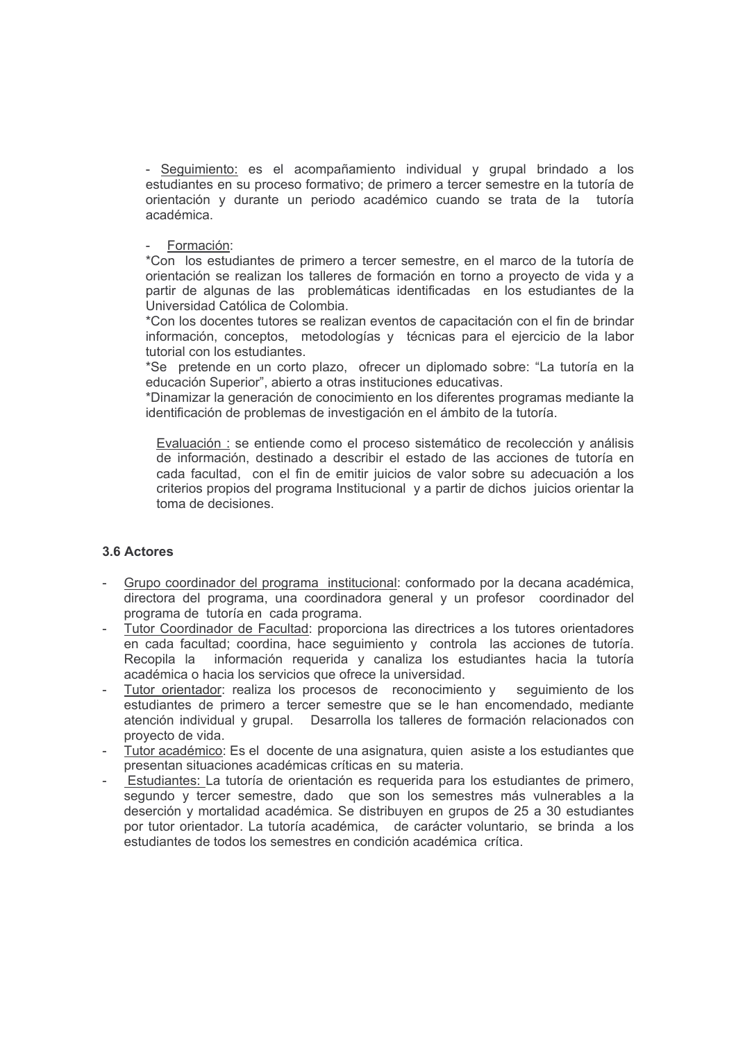- Seguimiento: es el acompañamiento individual y grupal brindado a los estudiantes en su proceso formativo; de primero a tercer semestre en la tutoría de orientación y durante un periodo académico cuando se trata de la tutoría académica

## Formación:

\*Con los estudiantes de primero a tercer semestre, en el marco de la tutoría de orientación se realizan los talleres de formación en torno a proyecto de vida y a partir de algunas de las problemáticas identificadas en los estudiantes de la Universidad Católica de Colombia.

\*Con los docentes tutores se realizan eventos de capacitación con el fin de brindar información, conceptos, metodologías y técnicas para el ejercicio de la labor tutorial con los estudiantes.

\*Se pretende en un corto plazo, ofrecer un diplomado sobre: "La tutoría en la educación Superior", abierto a otras instituciones educativas.

\*Dinamizar la generación de conocimiento en los diferentes programas mediante la identificación de problemas de investigación en el ámbito de la tutoría.

Evaluación : se entiende como el proceso sistemático de recolección y análisis de información, destinado a describir el estado de las acciones de tutoría en cada facultad, con el fin de emitir juicios de valor sobre su adecuación a los criterios propios del programa Institucional y a partir de dichos juicios orientar la toma de decisiones.

## 3.6 Actores

- Grupo coordinador del programa institucional: conformado por la decana académica, directora del programa, una coordinadora general y un profesor coordinador del programa de tutoría en cada programa.
- Tutor Coordinador de Facultad: proporciona las directrices a los tutores orientadores en cada facultad; coordina, hace seguimiento y controla las acciones de tutoría. Recopila la información requerida y canaliza los estudiantes hacia la tutoría académica o hacia los servicios que ofrece la universidad.
- sequimiento de los Tutor orientador: realiza los procesos de reconocimiento y estudiantes de primero a tercer semestre que se le han encomendado, mediante atención individual y grupal. Desarrolla los talleres de formación relacionados con provecto de vida.
- Tutor académico: Es el docente de una asignatura, quien asiste a los estudiantes que presentan situaciones académicas críticas en su materia.
- Estudiantes: La tutoría de orientación es reguerida para los estudiantes de primero. segundo y tercer semestre, dado que son los semestres más vulnerables a la deserción y mortalidad académica. Se distribuyen en grupos de 25 a 30 estudiantes por tutor orientador. La tutoría académica, de carácter voluntario, se brinda a los estudiantes de todos los semestres en condición académica crítica.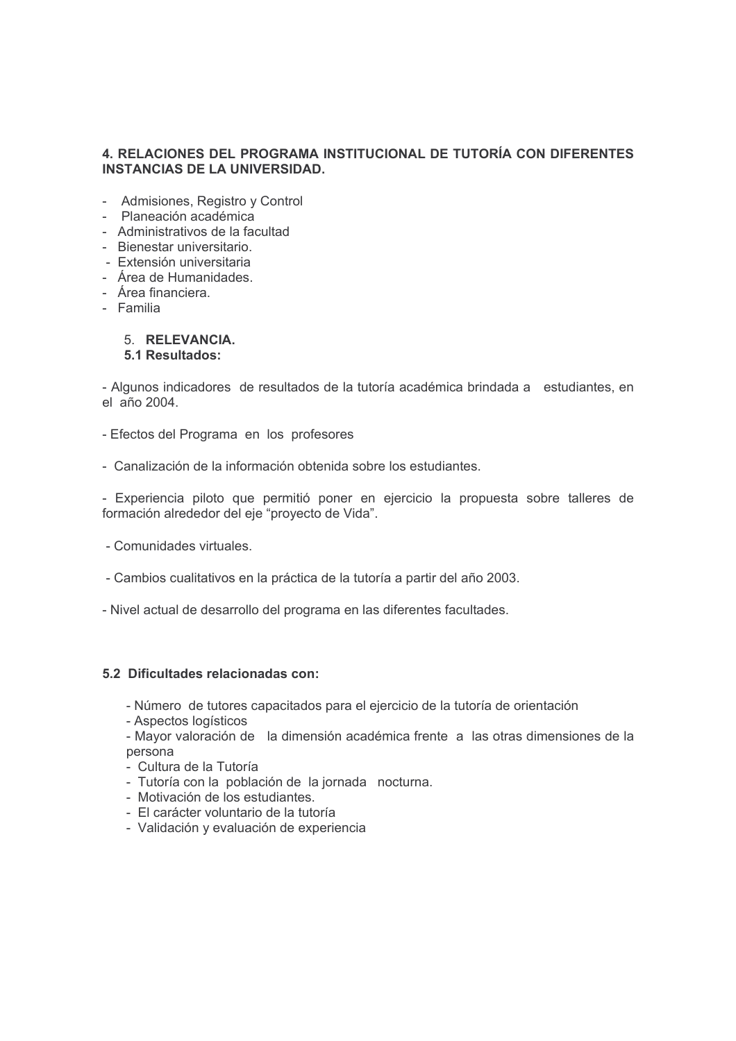## 4. RELACIONES DEL PROGRAMA INSTITUCIONAL DE TUTORÍA CON DIFERENTES **INSTANCIAS DE LA UNIVERSIDAD.**

- Admisiones, Registro y Control
- Planeación académica
- Administrativos de la facultad
- Bienestar universitario.
- Extensión universitaria
- Área de Humanidades.
- Área financiera.
- Familia

#### 5. RELEVANCIA. 5.1 Resultados:

- Algunos indicadores de resultados de la tutoría académica brindada a estudiantes, en el año 2004.

- Efectos del Programa en los profesores
- Canalización de la información obtenida sobre los estudiantes.

- Experiencia piloto que permitió poner en ejercicio la propuesta sobre talleres de formación alrededor del eje "proyecto de Vida".

- Comunidades virtuales.
- Cambios cualitativos en la práctica de la tutoría a partir del año 2003.
- Nivel actual de desarrollo del programa en las diferentes facultades.

## 5.2 Dificultades relacionadas con:

- Número de tutores capacitados para el ejercicio de la tutoría de orientación
- Aspectos logísticos
- Mayor valoración de la dimensión académica frente a las otras dimensiones de la persona
- Cultura de la Tutoría
- Tutoría con la población de la iornada nocturna.
- Motivación de los estudiantes.
- El carácter voluntario de la tutoría
- Validación y evaluación de experiencia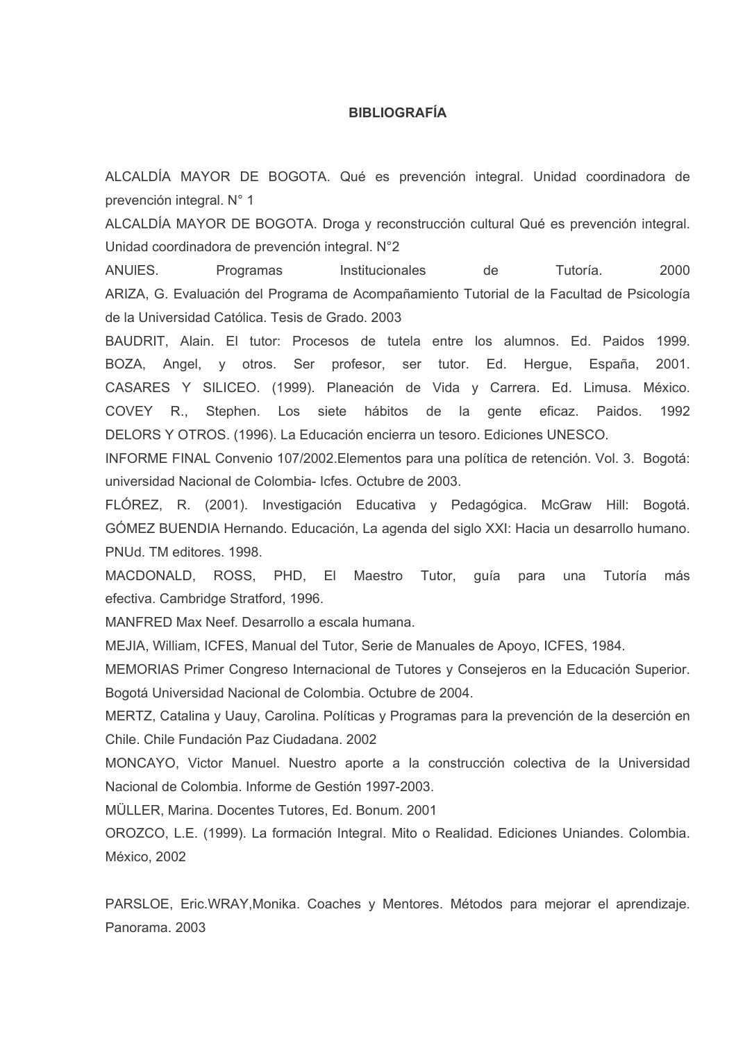## **BIBLIOGRAFÍA**

ALCALDÍA MAYOR DE BOGOTA. Qué es prevención integral. Unidad coordinadora de prevención integral. N° 1

ALCALDÍA MAYOR DE BOGOTA. Droga y reconstrucción cultural Qué es prevención integral. Unidad coordinadora de prevención integral. N°2

ANUIES. Programas Tutoría 2000 Institucionales de ARIZA. G. Evaluación del Programa de Acompañamiento Tutorial de la Facultad de Psicología de la Universidad Católica. Tesis de Grado. 2003

BAUDRIT, Alain. El tutor: Procesos de tutela entre los alumnos. Ed. Paidos 1999. profesor, ser tutor. Ed. Herque, España, BOZA, Angel, y otros. Ser 2001. CASARES Y SILICEO, (1999). Planeación de Vida y Carrera. Ed. Limusa, México, Stephen. Los siete hábitos de la gente eficaz. Paidos. COVEY R., 1992 DELORS Y OTROS. (1996). La Educación encierra un tesoro. Ediciones UNESCO.

INFORME FINAL Convenio 107/2002. Elementos para una política de retención. Vol. 3. Bogotá: universidad Nacional de Colombia- Icfes, Octubre de 2003.

FLÓREZ, R. (2001). Investigación Educativa y Pedagógica. McGraw Hill: Bogotá. GÓMEZ BUENDIA Hernando. Educación, La agenda del siglo XXI: Hacia un desarrollo humano. PNUd. TM editores, 1998.

MACDONALD, ROSS, PHD, El Maestro Tutor, quía para una Tutoría más efectiva. Cambridge Stratford, 1996.

MANFRED Max Neef. Desarrollo a escala humana.

MEJIA, William, ICFES, Manual del Tutor, Serie de Manuales de Apoyo, ICFES, 1984.

MEMORIAS Primer Congreso Internacional de Tutores y Consejeros en la Educación Superior. Bogotá Universidad Nacional de Colombia. Octubre de 2004.

MERTZ, Catalina y Uauy, Carolina. Políticas y Programas para la prevención de la deserción en Chile, Chile Fundación Paz Ciudadana, 2002

MONCAYO. Victor Manuel. Nuestro aporte a la construcción colectiva de la Universidad Nacional de Colombia. Informe de Gestión 1997-2003.

MÜLLER, Marina, Docentes Tutores, Ed. Bonum, 2001

OROZCO, L.E. (1999). La formación Integral. Mito o Realidad. Ediciones Uniandes. Colombia. México, 2002

PARSLOE, Eric.WRAY, Monika. Coaches y Mentores. Métodos para mejorar el aprendizaje. Panorama, 2003